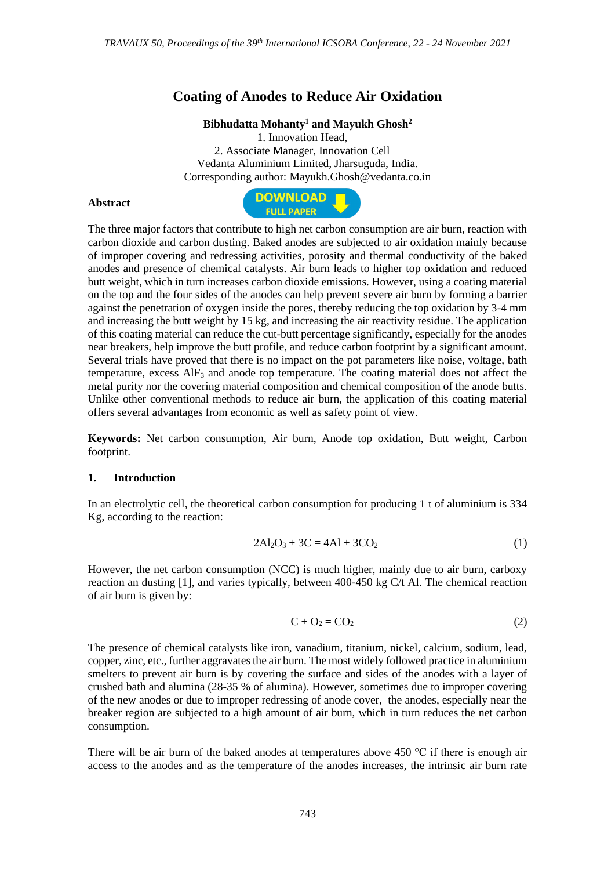# **Coating of Anodes to Reduce Air Oxidation**

#### **Bibhudatta Mohanty<sup>1</sup> and Mayukh Ghosh<sup>2</sup>**

1. Innovation Head, 2. Associate Manager, Innovation Cell Vedanta Aluminium Limited, Jharsuguda, India. Corresponding author: Mayukh.Ghosh@vedanta.co.in

#### **Abstract**



The three major factors that contribute to high net carbon consumption are air burn, reaction with carbon dioxide and carbon dusting. Baked anodes are subjected to air oxidation mainly because of improper covering and redressing activities, porosity and thermal conductivity of the baked anodes and presence of chemical catalysts. Air burn leads to higher top oxidation and reduced butt weight, which in turn increases carbon dioxide emissions. However, using a coating material on the top and the four sides of the anodes can help prevent severe air burn by forming a barrier against the penetration of oxygen inside the pores, thereby reducing the top oxidation by 3-4 mm and increasing the butt weight by 15 kg, and increasing the air reactivity residue. The application of this coating material can reduce the cut-butt percentage significantly, especially for the anodes near breakers, help improve the butt profile, and reduce carbon footprint by a significant amount. Several trials have proved that there is no impact on the pot parameters like noise, voltage, bath temperature, excess  $\text{AlF}_3$  and anode top temperature. The coating material does not affect the metal purity nor the covering material composition and chemical composition of the anode butts. Unlike other conventional methods to reduce air burn, the application of this coating material offers several advantages from economic as well as safety point of view.

**Keywords:** Net carbon consumption, Air burn, Anode top oxidation, Butt weight, Carbon footprint.

#### **1. Introduction**

In an electrolytic cell, the theoretical carbon consumption for producing 1 t of aluminium is 334 Kg, according to the reaction:

$$
2Al_2O_3 + 3C = 4Al + 3CO_2
$$
 (1)

However, the net carbon consumption (NCC) is much higher, mainly due to air burn, carboxy reaction an dusting [1], and varies typically, between 400-450 kg C/t Al. The chemical reaction of air burn is given by:

$$
C + O_2 = CO_2 \tag{2}
$$

The presence of chemical catalysts like iron, vanadium, titanium, nickel, calcium, sodium, lead, copper, zinc, etc., further aggravates the air burn. The most widely followed practice in aluminium smelters to prevent air burn is by covering the surface and sides of the anodes with a layer of crushed bath and alumina (28-35 % of alumina). However, sometimes due to improper covering of the new anodes or due to improper redressing of anode cover, the anodes, especially near the breaker region are subjected to a high amount of air burn, which in turn reduces the net carbon consumption.

There will be air burn of the baked anodes at temperatures above 450  $\degree$ C if there is enough air access to the anodes and as the temperature of the anodes increases, the intrinsic air burn rate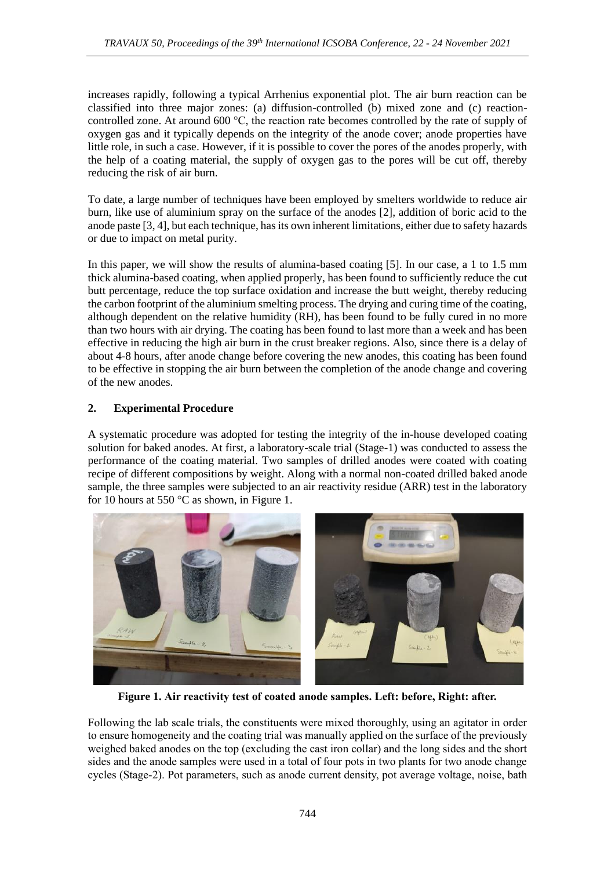increases rapidly, following a typical Arrhenius exponential plot. The air burn reaction can be classified into three major zones: (a) diffusion-controlled (b) mixed zone and (c) reactioncontrolled zone. At around 600 °C, the reaction rate becomes controlled by the rate of supply of oxygen gas and it typically depends on the integrity of the anode cover; anode properties have little role, in such a case. However, if it is possible to cover the pores of the anodes properly, with the help of a coating material, the supply of oxygen gas to the pores will be cut off, thereby reducing the risk of air burn.

To date, a large number of techniques have been employed by smelters worldwide to reduce air burn, like use of aluminium spray on the surface of the anodes [2], addition of boric acid to the anode paste [3, 4], but each technique, has its own inherent limitations, either due to safety hazards or due to impact on metal purity.

In this paper, we will show the results of alumina-based coating [5]. In our case, a 1 to 1.5 mm thick alumina-based coating, when applied properly, has been found to sufficiently reduce the cut butt percentage, reduce the top surface oxidation and increase the butt weight, thereby reducing the carbon footprint of the aluminium smelting process. The drying and curing time of the coating, although dependent on the relative humidity (RH), has been found to be fully cured in no more than two hours with air drying. The coating has been found to last more than a week and has been effective in reducing the high air burn in the crust breaker regions. Also, since there is a delay of about 4-8 hours, after anode change before covering the new anodes, this coating has been found to be effective in stopping the air burn between the completion of the anode change and covering of the new anodes.

## **2. Experimental Procedure**

A systematic procedure was adopted for testing the integrity of the in-house developed coating solution for baked anodes. At first, a laboratory-scale trial (Stage-1) was conducted to assess the performance of the coating material. Two samples of drilled anodes were coated with coating recipe of different compositions by weight. Along with a normal non-coated drilled baked anode sample, the three samples were subjected to an air reactivity residue (ARR) test in the laboratory for 10 hours at 550  $\degree$ C as shown, in Figure 1.



**Figure 1. Air reactivity test of coated anode samples. Left: before, Right: after.**

Following the lab scale trials, the constituents were mixed thoroughly, using an agitator in order to ensure homogeneity and the coating trial was manually applied on the surface of the previously weighed baked anodes on the top (excluding the cast iron collar) and the long sides and the short sides and the anode samples were used in a total of four pots in two plants for two anode change cycles (Stage-2). Pot parameters, such as anode current density, pot average voltage, noise, bath